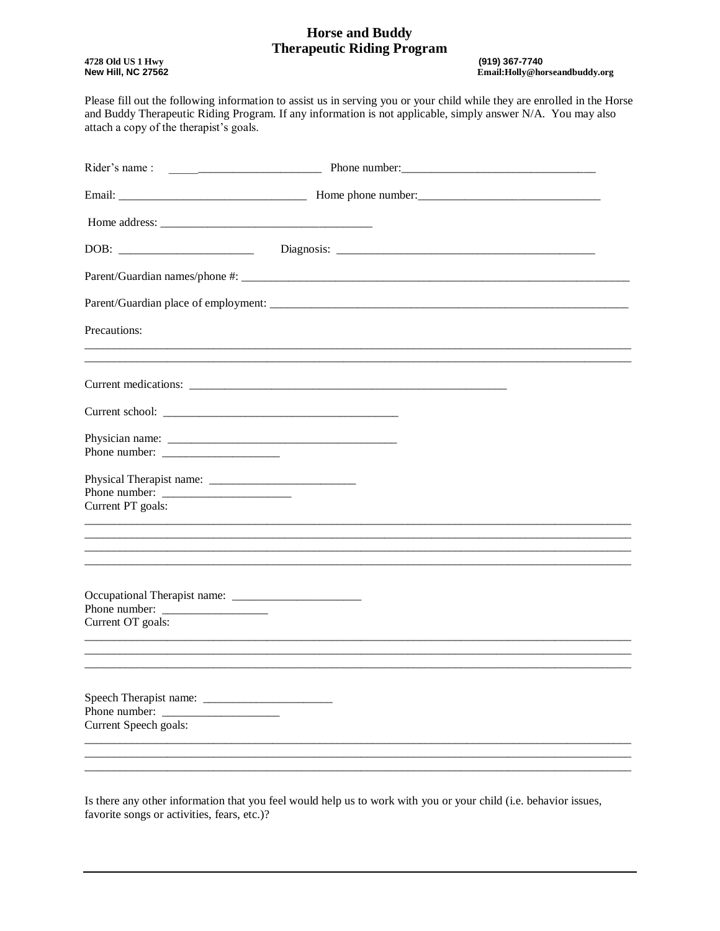#### **Horse and Buddy Therapeutic Riding Program**

4728 Old US 1 Hwy **New Hill, NC 27562**  (919) 367-7740 Email:Holly@horseandbuddy.org

Please fill out the following information to assist us in serving you or your child while they are enrolled in the Horse and Buddy Therapeutic Riding Program. If any information is not applicable, simply answer N/A. You may also attach a copy of the therapist's goals.

| Precautions:                                                                 |  |
|------------------------------------------------------------------------------|--|
|                                                                              |  |
|                                                                              |  |
|                                                                              |  |
| Current PT goals:                                                            |  |
|                                                                              |  |
|                                                                              |  |
| Current OT goals:                                                            |  |
|                                                                              |  |
|                                                                              |  |
| Speech Therapist name: ___________<br>Phone number:<br>Current Speech goals: |  |
|                                                                              |  |
|                                                                              |  |

Is there any other information that you feel would help us to work with you or your child (i.e. behavior issues, favorite songs or activities, fears, etc.)?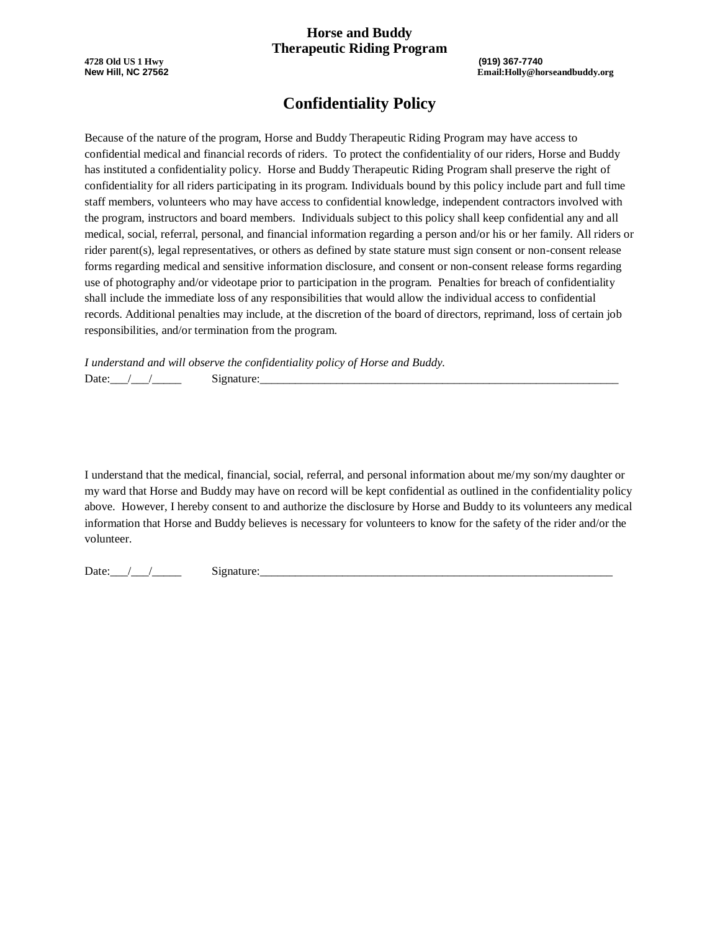#### **Horse and Buddy Therapeutic Riding Program**

**4728 Old US 1 Hwy (919) 367-7740**

**New Hill, NC 27562 Email:Holly@horseandbuddy.org**

# **Confidentiality Policy**

Because of the nature of the program, Horse and Buddy Therapeutic Riding Program may have access to confidential medical and financial records of riders. To protect the confidentiality of our riders, Horse and Buddy has instituted a confidentiality policy. Horse and Buddy Therapeutic Riding Program shall preserve the right of confidentiality for all riders participating in its program. Individuals bound by this policy include part and full time staff members, volunteers who may have access to confidential knowledge, independent contractors involved with the program, instructors and board members. Individuals subject to this policy shall keep confidential any and all medical, social, referral, personal, and financial information regarding a person and/or his or her family. All riders or rider parent(s), legal representatives, or others as defined by state stature must sign consent or non-consent release forms regarding medical and sensitive information disclosure, and consent or non-consent release forms regarding use of photography and/or videotape prior to participation in the program. Penalties for breach of confidentiality shall include the immediate loss of any responsibilities that would allow the individual access to confidential records. Additional penalties may include, at the discretion of the board of directors, reprimand, loss of certain job responsibilities, and/or termination from the program.

*I understand and will observe the confidentiality policy of Horse and Buddy.* Date:\_\_\_/\_\_\_/\_\_\_\_\_ Signature:\_\_\_\_\_\_\_\_\_\_\_\_\_\_\_\_\_\_\_\_\_\_\_\_\_\_\_\_\_\_\_\_\_\_\_\_\_\_\_\_\_\_\_\_\_\_\_\_\_\_\_\_\_\_\_\_\_\_\_\_\_

I understand that the medical, financial, social, referral, and personal information about me/my son/my daughter or my ward that Horse and Buddy may have on record will be kept confidential as outlined in the confidentiality policy above. However, I hereby consent to and authorize the disclosure by Horse and Buddy to its volunteers any medical information that Horse and Buddy believes is necessary for volunteers to know for the safety of the rider and/or the volunteer.

Date: $\angle$  /  $\angle$  Signature: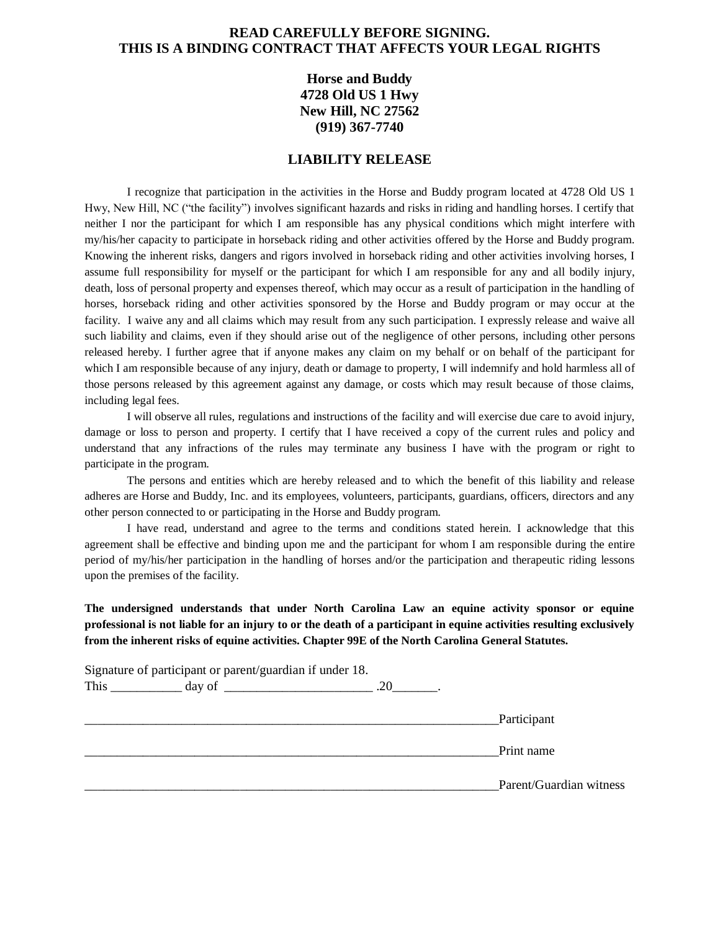#### **READ CAREFULLY BEFORE SIGNING. THIS IS A BINDING CONTRACT THAT AFFECTS YOUR LEGAL RIGHTS**

### **Horse and Buddy 4728 Old US 1 Hwy New Hill, NC 27562 (919) 367-7740**

#### **LIABILITY RELEASE**

I recognize that participation in the activities in the Horse and Buddy program located at 4728 Old US 1 Hwy, New Hill, NC ("the facility") involves significant hazards and risks in riding and handling horses. I certify that neither I nor the participant for which I am responsible has any physical conditions which might interfere with my/his/her capacity to participate in horseback riding and other activities offered by the Horse and Buddy program. Knowing the inherent risks, dangers and rigors involved in horseback riding and other activities involving horses, I assume full responsibility for myself or the participant for which I am responsible for any and all bodily injury, death, loss of personal property and expenses thereof, which may occur as a result of participation in the handling of horses, horseback riding and other activities sponsored by the Horse and Buddy program or may occur at the facility. I waive any and all claims which may result from any such participation. I expressly release and waive all such liability and claims, even if they should arise out of the negligence of other persons, including other persons released hereby. I further agree that if anyone makes any claim on my behalf or on behalf of the participant for which I am responsible because of any injury, death or damage to property, I will indemnify and hold harmless all of those persons released by this agreement against any damage, or costs which may result because of those claims, including legal fees.

I will observe all rules, regulations and instructions of the facility and will exercise due care to avoid injury, damage or loss to person and property. I certify that I have received a copy of the current rules and policy and understand that any infractions of the rules may terminate any business I have with the program or right to participate in the program.

The persons and entities which are hereby released and to which the benefit of this liability and release adheres are Horse and Buddy, Inc. and its employees, volunteers, participants, guardians, officers, directors and any other person connected to or participating in the Horse and Buddy program.

I have read, understand and agree to the terms and conditions stated herein. I acknowledge that this agreement shall be effective and binding upon me and the participant for whom I am responsible during the entire period of my/his/her participation in the handling of horses and/or the participation and therapeutic riding lessons upon the premises of the facility.

**The undersigned understands that under North Carolina Law an equine activity sponsor or equine professional is not liable for an injury to or the death of a participant in equine activities resulting exclusively from the inherent risks of equine activities. Chapter 99E of the North Carolina General Statutes.** 

| Signature of participant or parent/guardian if under 18. |                         |
|----------------------------------------------------------|-------------------------|
|                                                          |                         |
|                                                          |                         |
|                                                          | Participant             |
|                                                          |                         |
|                                                          | Print name              |
|                                                          |                         |
|                                                          | Parent/Guardian witness |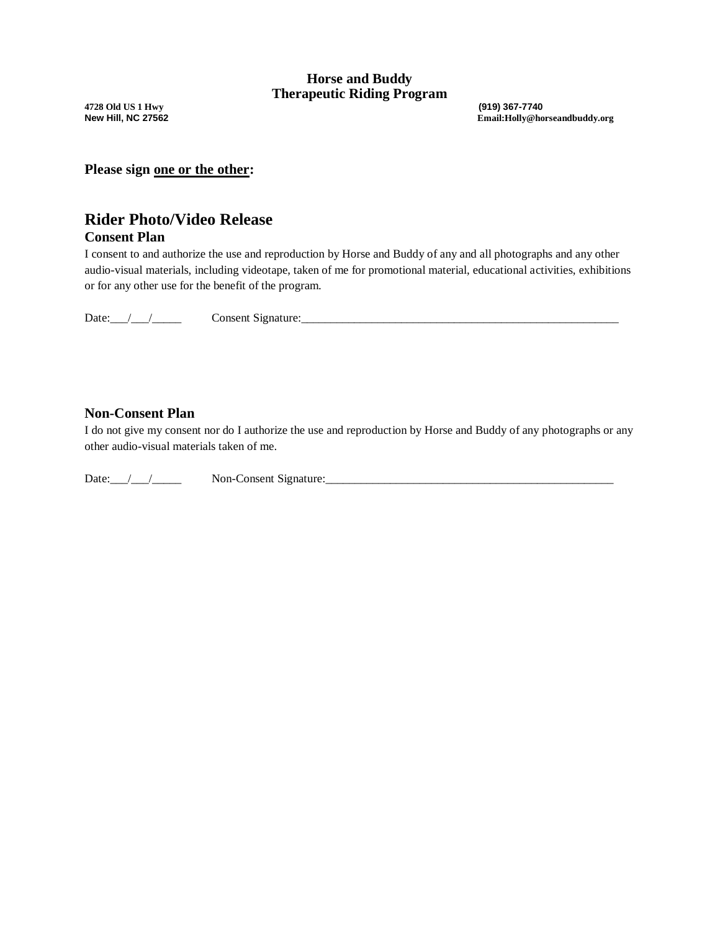**4728 Old US 1 Hwy (919) 367-7740**

**New Hill, NC 27562 Email:Holly@horseandbuddy.org**

**Please sign one or the other:** 

# **Rider Photo/Video Release**

### **Consent Plan**

I consent to and authorize the use and reproduction by Horse and Buddy of any and all photographs and any other audio-visual materials, including videotape, taken of me for promotional material, educational activities, exhibitions or for any other use for the benefit of the program.

Date: $\angle$  /  $\angle$  Consent Signature:  $\angle$ 

#### **Non-Consent Plan**

I do not give my consent nor do I authorize the use and reproduction by Horse and Buddy of any photographs or any other audio-visual materials taken of me.

Date:\_\_\_/\_\_\_/\_\_\_\_\_ Non-Consent Signature:\_\_\_\_\_\_\_\_\_\_\_\_\_\_\_\_\_\_\_\_\_\_\_\_\_\_\_\_\_\_\_\_\_\_\_\_\_\_\_\_\_\_\_\_\_\_\_\_\_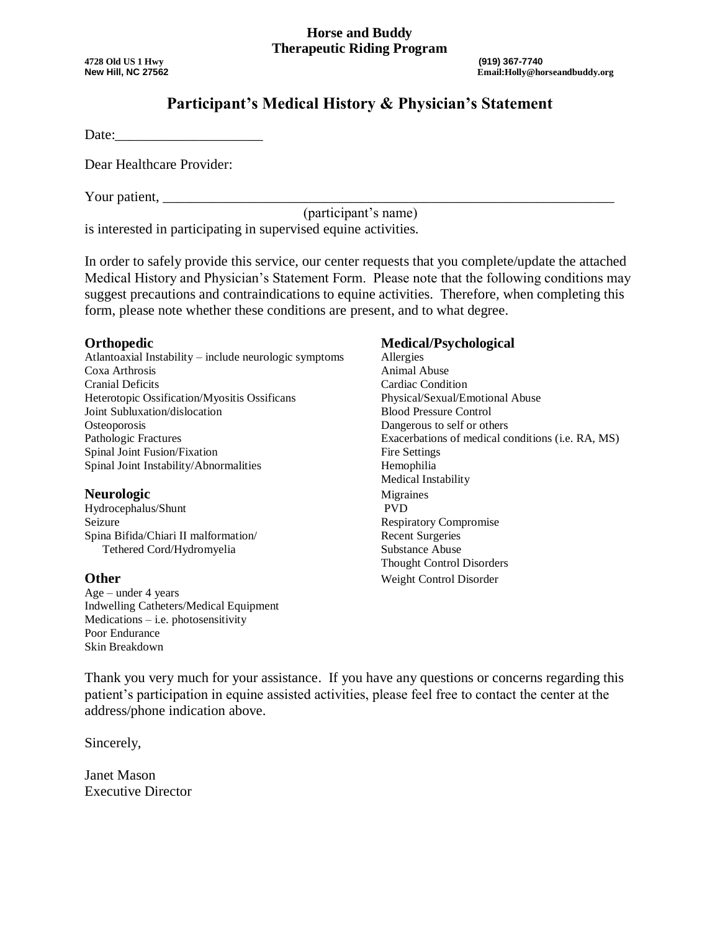#### **Horse and Buddy Therapeutic Riding Program**

**4728 Old US 1 Hwy (919) 367-7740**

# **Participant's Medical History & Physician's Statement**

Date:

Dear Healthcare Provider:

Your patient,

(participant's name)

is interested in participating in supervised equine activities.

In order to safely provide this service, our center requests that you complete/update the attached Medical History and Physician's Statement Form. Please note that the following conditions may suggest precautions and contraindications to equine activities. Therefore, when completing this form, please note whether these conditions are present, and to what degree.

Atlantoaxial Instability – include neurologic symptoms Allergies Coxa Arthrosis **Animal Abuse** Cranial Deficits Cardiac Condition Heterotopic Ossification/Myositis Ossificans Physical/Sexual/Emotional Abuse Joint Subluxation/dislocation Blood Pressure Control Osteoporosis Dangerous to self or others Pathologic Fractures Exacerbations of medical conditions (i.e. RA, MS) Spinal Joint Fusion/Fixation Fire Settings Spinal Joint Instability/Abnormalities Hemophilia

**Neurologic** Migraines<br> **Migraines**<br>
Hydrocephalus/Shunt<br>
Migraines<br>
PVD Hydrocephalus/Shunt Seizure Respiratory Compromise Spina Bifida/Chiari II malformation/ Recent Surgeries Tethered Cord/Hydromyelia Substance Abuse

 $Age - under 4 years$ Indwelling Catheters/Medical Equipment Medications – i.e. photosensitivity Poor Endurance Skin Breakdown

#### **Orthopedic Medical/Psychological**

Medical Instability Thought Control Disorders **Other** Weight Control Disorder

Thank you very much for your assistance. If you have any questions or concerns regarding this patient's participation in equine assisted activities, please feel free to contact the center at the address/phone indication above.

Sincerely,

Janet Mason Executive Director